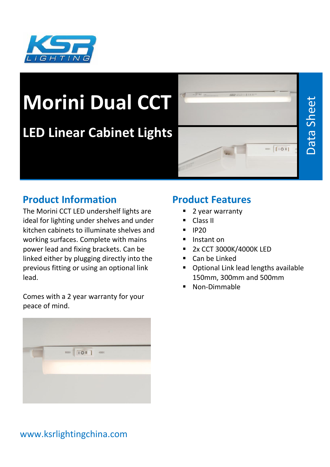

# **Morini Dual CCT**

## **LED Linear Cabinet Lights**



#### **Product Information**

The Morini CCT LED undershelf lights are ideal for lighting under shelves and under kitchen cabinets to illuminate shelves and working surfaces. Complete with mains power lead and fixing brackets. Can be linked either by plugging directly into the previous fitting or using an optional link lead.

Comes with a 2 year warranty for your peace of mind.



#### **Product Features**

- 2 year warranty
- Class II
- $\blacksquare$  IP20
- Instant on
- **2x CCT 3000K/4000K LED**
- Can be Linked
- Optional Link lead lengths available 150mm, 300mm and 500mm
- Non-Dimmable

#### www.ksrlightingchina.com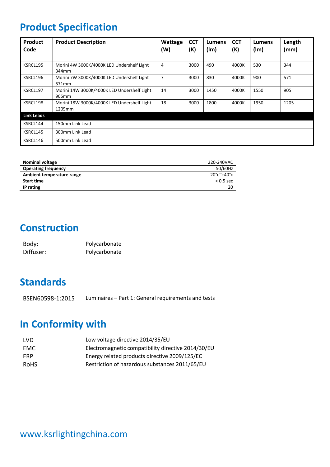### **Product Specification**

| Product<br>Code   | <b>Product Description</b>                                       | Wattage<br>(W) | <b>CCT</b><br>(K) | <b>Lumens</b><br>(lm) | <b>CCT</b><br>(K) | Lumens<br>(lm) | Length<br>(mm) |
|-------------------|------------------------------------------------------------------|----------------|-------------------|-----------------------|-------------------|----------------|----------------|
|                   |                                                                  |                |                   |                       |                   |                |                |
| KSRCL195          | Morini 4W 3000K/4000K LED Undershelf Light<br>344mm              | 4              | 3000              | 490                   | 4000K             | 530            | 344            |
| KSRCL196          | Morini 7W 3000K/4000K LED Undershelf Light<br>571 <sub>mm</sub>  | $\overline{7}$ | 3000              | 830                   | 4000K             | 900            | 571            |
| KSRCL197          | Morini 14W 3000K/4000K LED Undershelf Light<br>905 <sub>mm</sub> | 14             | 3000              | 1450                  | 4000K             | 1550           | 905            |
| KSRCL198          | Morini 18W 3000K/4000K LED Undershelf Light<br>1205mm            | 18             | 3000              | 1800                  | 4000K             | 1950           | 1205           |
| <b>Link Leads</b> |                                                                  |                |                   |                       |                   |                |                |
| KSRCL144          | 150mm Link Lead                                                  |                |                   |                       |                   |                |                |
| KSRCL145          | 300mm Link Lead                                                  |                |                   |                       |                   |                |                |
| KSRCL146          | 500mm Link Lead                                                  |                |                   |                       |                   |                |                |

| <b>Nominal voltage</b>     | 220-240VAC                      |
|----------------------------|---------------------------------|
| <b>Operating frequency</b> | 50/60Hz                         |
| Ambient temperature range  | $-20^{\circ}$ c $-40^{\circ}$ c |
| <b>Start time</b>          | $< 0.5$ sec                     |
| IP rating                  | 20                              |

#### **Construction**

| Body:     | Polycarbonate |
|-----------|---------------|
| Diffuser: | Polycarbonate |

#### **Standards**

BSEN60598-1:2015 Luminaires – Part 1: General requirements and tests

#### **In Conformity with**

| LVD.       | Low voltage directive 2014/35/EU                   |
|------------|----------------------------------------------------|
| EMC        | Electromagnetic compatibility directive 2014/30/EU |
| <b>FRP</b> | Energy related products directive 2009/125/EC      |
| RoHS       | Restriction of hazardous substances 2011/65/EU     |
|            |                                                    |

#### www.ksrlightingchina.com